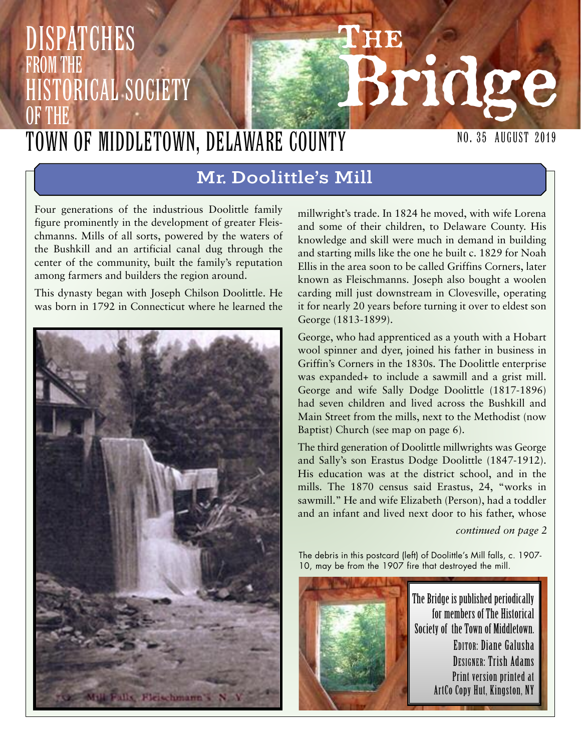## **THE Bridge** NO. 35 August 2019 Dispatches from the **HISTORICAL SOCIETY** OF THE Town of Middletown, Delaware County

# **Mr. Doolittle's Mill**

Four generations of the industrious Doolittle family figure prominently in the development of greater Fleischmanns. Mills of all sorts, powered by the waters of the Bushkill and an artificial canal dug through the center of the community, built the family's reputation among farmers and builders the region around.

This dynasty began with Joseph Chilson Doolittle. He was born in 1792 in Connecticut where he learned the



millwright's trade. In 1824 he moved, with wife Lorena and some of their children, to Delaware County. His knowledge and skill were much in demand in building and starting mills like the one he built c. 1829 for Noah Ellis in the area soon to be called Griffins Corners, later known as Fleischmanns. Joseph also bought a woolen carding mill just downstream in Clovesville, operating it for nearly 20 years before turning it over to eldest son George (1813-1899).

George, who had apprenticed as a youth with a Hobart wool spinner and dyer, joined his father in business in Griffin's Corners in the 1830s. The Doolittle enterprise was expanded+ to include a sawmill and a grist mill. George and wife Sally Dodge Doolittle (1817-1896) had seven children and lived across the Bushkill and Main Street from the mills, next to the Methodist (now Baptist) Church (see map on page 6).

The third generation of Doolittle millwrights was George and Sally's son Erastus Dodge Doolittle (1847-1912). His education was at the district school, and in the mills. The 1870 census said Erastus, 24, "works in sawmill." He and wife Elizabeth (Person), had a toddler and an infant and lived next door to his father, whose

*continued on page 2*

The debris in this postcard (left) of Doolittle's Mill falls, c. 1907- 10, may be from the 1907 fire that destroyed the mill.

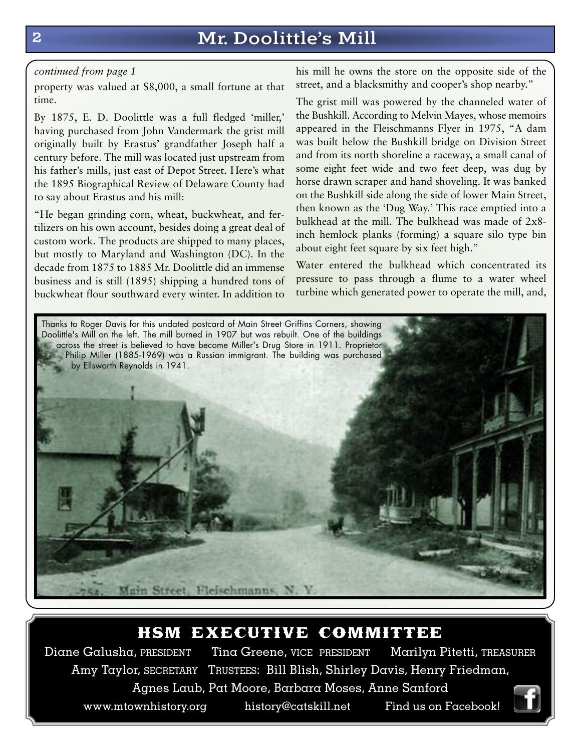# **2 Mr. Doolittle's Mill**

#### *continued from page 1*

property was valued at \$8,000, a small fortune at that time.

By 1875, E. D. Doolittle was a full fledged 'miller,' having purchased from John Vandermark the grist mill originally built by Erastus' grandfather Joseph half a century before. The mill was located just upstream from his father's mills, just east of Depot Street. Here's what the 1895 Biographical Review of Delaware County had to say about Erastus and his mill:

"He began grinding corn, wheat, buckwheat, and fertilizers on his own account, besides doing a great deal of custom work. The products are shipped to many places, but mostly to Maryland and Washington (DC). In the decade from 1875 to 1885 Mr. Doolittle did an immense business and is still (1895) shipping a hundred tons of buckwheat flour southward every winter. In addition to

his mill he owns the store on the opposite side of the street, and a blacksmithy and cooper's shop nearby."

The grist mill was powered by the channeled water of the Bushkill. According to Melvin Mayes, whose memoirs appeared in the Fleischmanns Flyer in 1975, "A dam was built below the Bushkill bridge on Division Street and from its north shoreline a raceway, a small canal of some eight feet wide and two feet deep, was dug by horse drawn scraper and hand shoveling. It was banked on the Bushkill side along the side of lower Main Street, then known as the 'Dug Way.' This race emptied into a bulkhead at the mill. The bulkhead was made of 2x8 inch hemlock planks (forming) a square silo type bin about eight feet square by six feet high."

Water entered the bulkhead which concentrated its pressure to pass through a flume to a water wheel turbine which generated power to operate the mill, and,



## hsm executive committee

Diane Galusha, PRESIDENT Tina Greene, VICE PRESIDENT Marilyn Pitetti, TREASURER Amy Taylor, SECRETARY TRUSTEES: Bill Blish, Shirley Davis, Henry Friedman, Agnes Laub, Pat Moore, Barbara Moses, Anne Sanford www.mtownhistory.org history@catskill.net Find us on Facebook!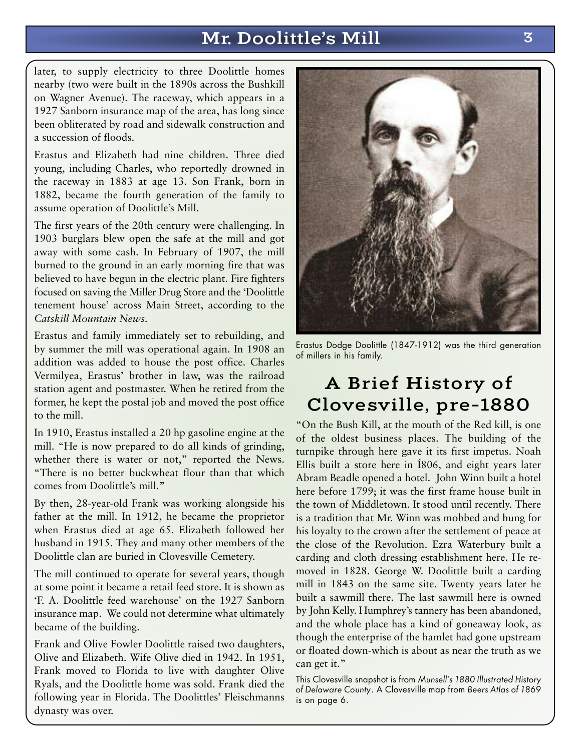# **Mr. Doolittle's Mill 3**

later, to supply electricity to three Doolittle homes nearby (two were built in the 1890s across the Bushkill on Wagner Avenue). The raceway, which appears in a 1927 Sanborn insurance map of the area, has long since been obliterated by road and sidewalk construction and a succession of floods.

Erastus and Elizabeth had nine children. Three died young, including Charles, who reportedly drowned in the raceway in 1883 at age 13. Son Frank, born in 1882, became the fourth generation of the family to assume operation of Doolittle's Mill.

The first years of the 20th century were challenging. In 1903 burglars blew open the safe at the mill and got away with some cash. In February of 1907, the mill burned to the ground in an early morning fire that was believed to have begun in the electric plant. Fire fighters focused on saving the Miller Drug Store and the 'Doolittle tenement house' across Main Street, according to the *Catskill Mountain News.*

Erastus and family immediately set to rebuilding, and by summer the mill was operational again. In 1908 an addition was added to house the post office. Charles Vermilyea, Erastus' brother in law, was the railroad station agent and postmaster. When he retired from the former, he kept the postal job and moved the post office to the mill.

In 1910, Erastus installed a 20 hp gasoline engine at the mill. "He is now prepared to do all kinds of grinding, whether there is water or not," reported the News. "There is no better buckwheat flour than that which comes from Doolittle's mill."

By then, 28-year-old Frank was working alongside his father at the mill. In 1912, he became the proprietor when Erastus died at age 65. Elizabeth followed her husband in 1915. They and many other members of the Doolittle clan are buried in Clovesville Cemetery.

The mill continued to operate for several years, though at some point it became a retail feed store. It is shown as 'F. A. Doolittle feed warehouse' on the 1927 Sanborn insurance map. We could not determine what ultimately became of the building.

Frank and Olive Fowler Doolittle raised two daughters, Olive and Elizabeth. Wife Olive died in 1942. In 1951, Frank moved to Florida to live with daughter Olive Ryals, and the Doolittle home was sold. Frank died the following year in Florida. The Doolittles' Fleischmanns dynasty was over.



Erastus Dodge Doolittle (1847-1912) was the third generation of millers in his family.

# **A Brief History of Clovesville, pre-1880**

"On the Bush Kill, at the mouth of the Red kill, is one of the oldest business places. The building of the turnpike through here gave it its first impetus. Noah Ellis built a store here in Í806, and eight years later Abram Beadle opened a hotel. John Winn built a hotel here before 1799; it was the first frame house built in the town of Middletown. It stood until recently. There is a tradition that Mr. Winn was mobbed and hung for his loyalty to the crown after the settlement of peace at the close of the Revolution. Ezra Waterbury built a carding and cloth dressing establishment here. He removed in 1828. George W. Doolittle built a carding mill in 1843 on the same site. Twenty years later he built a sawmill there. The last sawmill here is owned by John Kelly. Humphrey's tannery has been abandoned, and the whole place has a kind of goneaway look, as though the enterprise of the hamlet had gone upstream or floated down-which is about as near the truth as we can get it."

This Clovesville snapshot is from *Munsell's 1880 Illustrated History of Delaware County*. A Clovesville map from *Beers Atlas of 1869* is on page 6.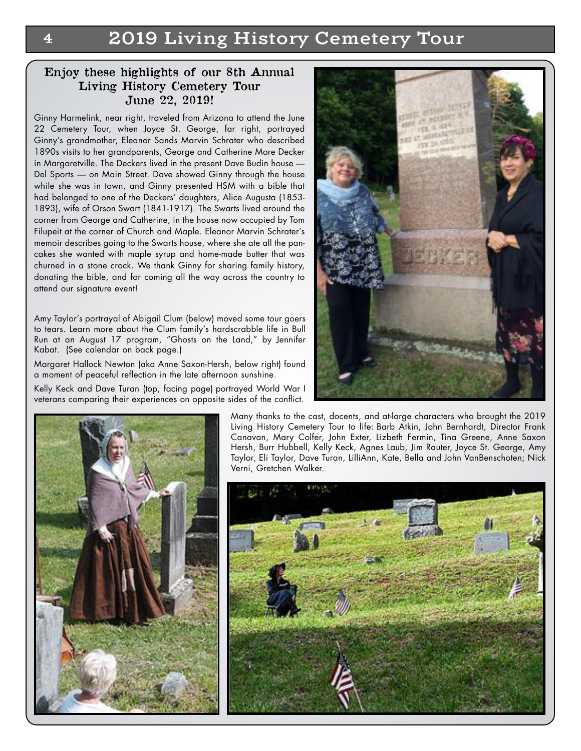**4 2019 Living History Cemetery Tour**

#### **Enjoy these highlights of our 8th Annual Living History Cemetery Tour June 22, 2019!**

Ginny Harmelink, near right, traveled from Arizona to attend the June 22 Cemetery Tour, when Joyce St. George, far right, portrayed Ginny's grandmother, Eleanor Sands Marvin Schrater who described 1890s visits to her grandparents, George and Catherine More Decker in Margaretville. The Deckers lived in the present Dave Budin house — Del Sports — on Main Street. Dave showed Ginny through the house while she was in town, and Ginny presented HSM with a bible that had belonged to one of the Deckers' daughters, Alice Augusta (1853- 1893), wife of Orson Swart (1841-1917). The Swarts lived around the corner from George and Catherine, in the house now occupied by Tom Filupeit at the corner of Church and Maple. Eleanor Marvin Schrater's memoir describes going to the Swarts house, where she ate all the pancakes she wanted with maple syrup and home-made butter that was churned in a stone crock. We thank Ginny for sharing family history, donating the bible, and for coming all the way across the country to attend our signature event!

Amy Taylor's portrayal of Abigail Clum (below) moved some tour goers to tears. Learn more about the Clum family's hardscrabble life in Bull Run at an August 17 program, "Ghosts on the Land," by Jennifer Kabat. (See calendar on back page.)

Margaret Hallock Newton (aka Anne Saxon-Hersh, below right) found a moment of peaceful reflection in the late afternoon sunshine.

Kelly Keck and Dave Turan (top, facing page) portrayed World War I veterans comparing their experiences on opposite sides of the conflict.





Many thanks to the cast, docents, and at-large characters who brought the 2019 Living History Cemetery Tour to life: Barb Atkin, John Bernhardt, Director Frank Canavan, Mary Colfer, John Exter, Lizbeth Fermin, Tina Greene, Anne Saxon Hersh, Burr Hubbell, Kelly Keck, Agnes Laub, Jim Rauter, Joyce St. George, Amy Taylor, Eli Taylor, Dave Turan, LilliAnn, Kate, Bella and John VanBenschoten; Nick Verni, Gretchen Walker.

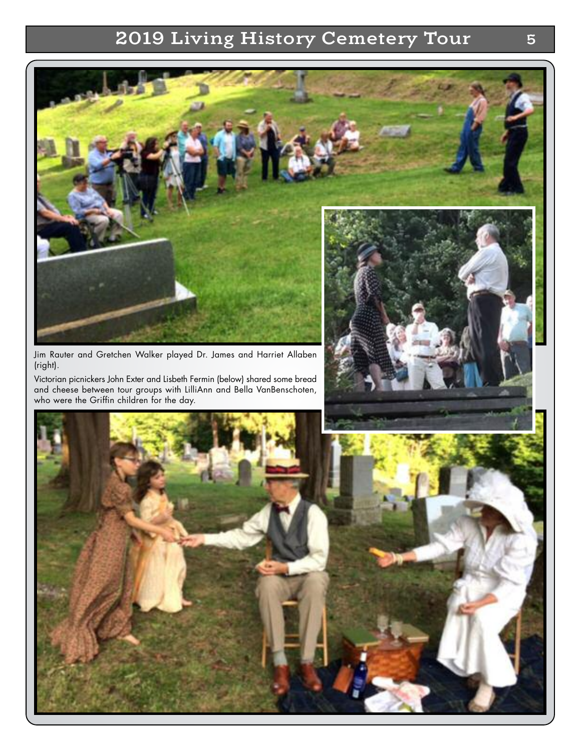# **2019 Living History Cemetery Tour 5**

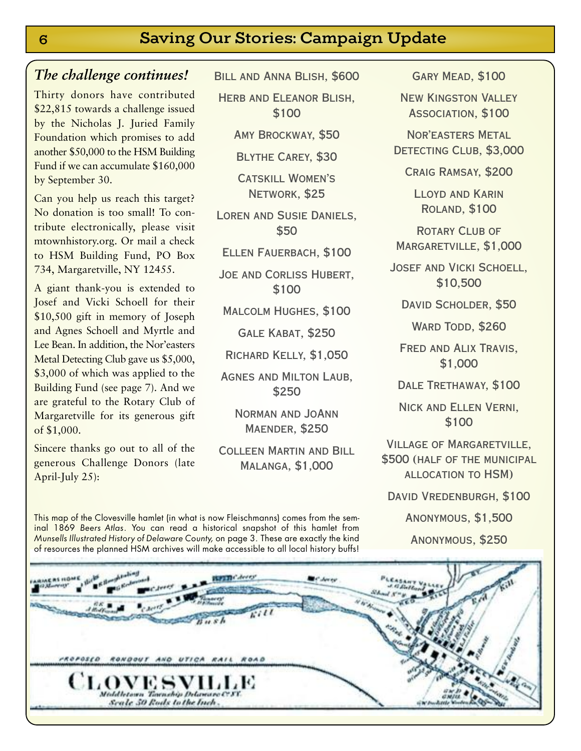## *The challenge continues!*

Thirty donors have contributed \$22,815 towards a challenge issued by the Nicholas J. Juried Family Foundation which promises to add another \$50,000 to the HSM Building Fund if we can accumulate \$160,000 by September 30.

Can you help us reach this target? No donation is too small! To contribute electronically, please visit mtownhistory.org. Or mail a check to HSM Building Fund, PO Box 734, Margaretville, NY 12455.

A giant thank-you is extended to Josef and Vicki Schoell for their \$10,500 gift in memory of Joseph and Agnes Schoell and Myrtle and Lee Bean. In addition, the Nor'easters Metal Detecting Club gave us \$5,000, \$3,000 of which was applied to the Building Fund (see page 7). And we are grateful to the Rotary Club of Margaretville for its generous gift of \$1,000.

Sincere thanks go out to all of the generous Challenge Donors (late April-July 25):

Bill and Anna Blish, \$600

Herb and Eleanor Blish, \$100

Amy Brockway, \$50

Blythe Carey, \$30

**CATSKILL WOMEN'S** Network, \$25

LOREN AND SUSIE DANIELS. \$50

Ellen Fauerbach, \$100

Joe and Corliss Hubert, \$100

Malcolm Hughes, \$100

Gale Kabat, \$250

Richard Kelly, \$1,050

Agnes and Milton Laub, \$250

> Norman and JoAnn Maender, \$250

Colleen Martin and Bill Malanga, \$1,000

This map of the Clovesville hamlet (in what is now Fleischmanns) comes from the seminal 1869 *Beers Atlas*. You can read a historical snapshot of this hamlet from *Munsells Illustrated History of Delaware County,* on page 3. These are exactly the kind of resources the planned HSM archives will make accessible to all local history buffs!

**GARY MEAD, \$100** 

New Kingston Valley Association, \$100

Nor'easters Metal DETECTING CLUB, \$3,000

Craig Ramsay, \$200

Lloyd and Karin Roland, \$100

ROTARY CLUB OF Margaretville, \$1,000

JOSEF AND VICKI SCHOELL. \$10,500

DAVID SCHOLDER, \$50

WARD TODD, \$260

Fred and Alix Travis, \$1,000

DALE TRETHAWAY, \$100

Nick and Ellen Verni, \$100

Village of Margaretville, \$500 (half of the municipal allocation to HSM)

DAVID VREDENBURGH, \$100

Anonymous, \$1,500

Anonymous, \$250

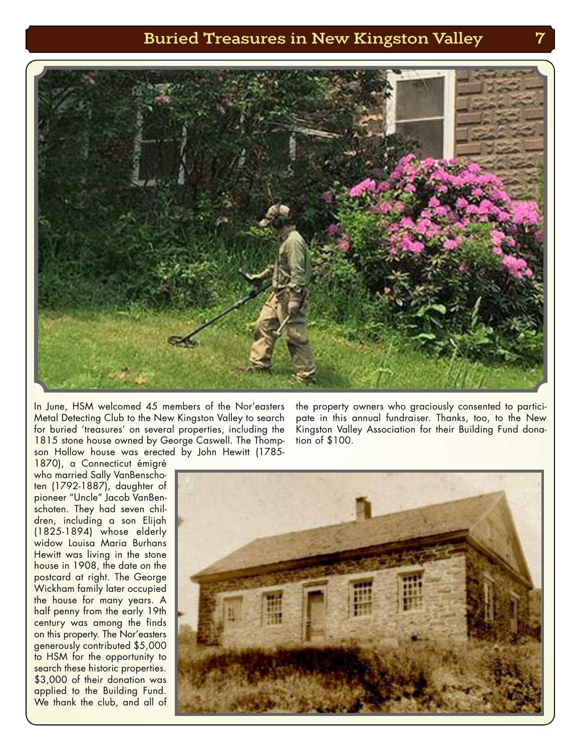## **Buried Treasures in New Kingston Valley 7**



In June, HSM welcomed 45 members of the Nor'easters Metal Detecting Club to the New Kingston Valley to search for buried 'treasures' on several properties, including the 1815 stone house owned by George Caswell. The Thompson Hollow house was erected by John Hewitt (1785-

1870), a Connecticut émigré who married Sally VanBenschoten (1792-1887), daughter of pioneer "Uncle" Jacob VanBenschoten. They had seven children, including a son Elijah (1825-1894) whose elderly widow Louisa Maria Burhans Hewitt was living in the stone house in 1908, the date on the postcard at right. The George Wickham family later occupied the house for many years. A half penny from the early 19th century was among the finds on this property. The Nor'easters generously contributed \$5,000 to HSM for the opportunity to search these historic properties. \$3,000 of their donation was applied to the Building Fund. We thank the club, and all of

the property owners who graciously consented to participate in this annual fundraiser. Thanks, too, to the New Kingston Valley Association for their Building Fund donation of \$100.